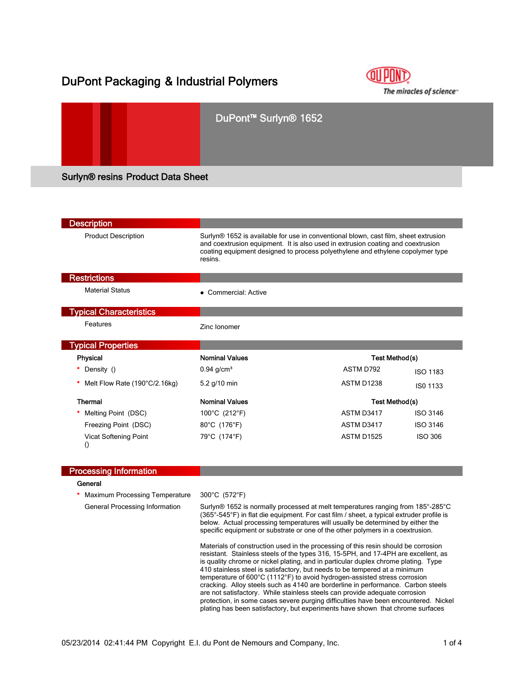# DuPont Packaging & Industrial Polymers



|                                          | DuPont <sup>™</sup> Surlyn <sup>®</sup> 1652 |  |  |  |
|------------------------------------------|----------------------------------------------|--|--|--|
| <b>Surlyn® resins Product Data Sheet</b> |                                              |  |  |  |

| <b>Description</b>                               |                                                                                                                                                                                                                                                                                 |                   |                 |
|--------------------------------------------------|---------------------------------------------------------------------------------------------------------------------------------------------------------------------------------------------------------------------------------------------------------------------------------|-------------------|-----------------|
| <b>Product Description</b>                       | Surlyn <sup>®</sup> 1652 is available for use in conventional blown, cast film, sheet extrusion<br>and coextrusion equipment. It is also used in extrusion coating and coextrusion<br>coating equipment designed to process polyethylene and ethylene copolymer type<br>resins. |                   |                 |
| <b>Restrictions</b>                              |                                                                                                                                                                                                                                                                                 |                   |                 |
| <b>Material Status</b>                           | • Commercial: Active                                                                                                                                                                                                                                                            |                   |                 |
| <b>Typical Characteristics</b>                   |                                                                                                                                                                                                                                                                                 |                   |                 |
| Features                                         | Zinc lonomer                                                                                                                                                                                                                                                                    |                   |                 |
| <b>Typical Properties</b>                        |                                                                                                                                                                                                                                                                                 |                   |                 |
| <b>Physical</b>                                  | <b>Nominal Values</b>                                                                                                                                                                                                                                                           | Test Method(s)    |                 |
| Density ()                                       | $0.94$ g/cm <sup>3</sup>                                                                                                                                                                                                                                                        | ASTM D792         | <b>ISO 1183</b> |
| Melt Flow Rate (190°C/2.16kg)                    | 5.2 g/10 min                                                                                                                                                                                                                                                                    | ASTM D1238        | ISO 1133        |
| <b>Thermal</b>                                   | <b>Nominal Values</b>                                                                                                                                                                                                                                                           | Test Method(s)    |                 |
| Melting Point (DSC)                              | 100°C (212°F)                                                                                                                                                                                                                                                                   | ASTM D3417        | ISO 3146        |
| Freezing Point (DSC)                             | 80°C (176°F)                                                                                                                                                                                                                                                                    | ASTM D3417        | <b>ISO 3146</b> |
| <b>Vicat Softening Point</b><br>$\left( \right)$ | 79°C (174°F)                                                                                                                                                                                                                                                                    | <b>ASTM D1525</b> | <b>ISO 306</b>  |
| <b>Processing Information</b>                    |                                                                                                                                                                                                                                                                                 |                   |                 |
| General                                          |                                                                                                                                                                                                                                                                                 |                   |                 |
| Maximum Processing Temperature                   | 300°C (572°F)                                                                                                                                                                                                                                                                   |                   |                 |
| General Processing Information                   | Surlyn® 1652 is normally processed at melt temperatures ranging from 185°-285°C<br>$196E^{\circ}$ $EAF^{\circ}E$ in flot die equipment. Ear soot film Laboat is tuning even der profile in                                                                                      |                   |                 |

(365°-545°F) in flat die equipment. For cast film / sheet, a typical extruder profile is below. Actual processing temperatures will usually be determined by either the specific equipment or substrate or one of the other polymers in a coextrusion.

Materials of construction used in the processing of this resin should be corrosion resistant. Stainless steels of the types 316, 15-5PH, and 17-4PH are excellent, as is quality chrome or nickel plating, and in particular duplex chrome plating. Type 410 stainless steel is satisfactory, but needs to be tempered at a minimum temperature of 600°C (1112°F) to avoid hydrogen-assisted stress corrosion cracking. Alloy steels such as 4140 are borderline in performance. Carbon steels are not satisfactory. While stainless steels can provide adequate corrosion protection, in some cases severe purging difficulties have been encountered. Nickel plating has been satisfactory, but experiments have shown that chrome surfaces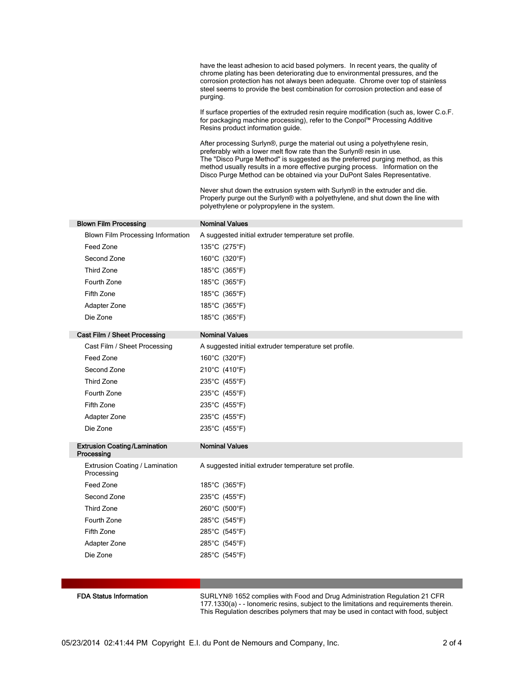have the least adhesion to acid based polymers. In recent years, the quality of chrome plating has been deteriorating due to environmental pressures, and the corrosion protection has not always been adequate. Chrome over top of stainless steel seems to provide the best combination for corrosion protection and ease of purging.

If surface properties of the extruded resin require modification (such as, lower C.o.F. for packaging machine processing), refer to the Conpol™ Processing Additive Resins product information guide.

After processing Surlyn®, purge the material out using a polyethylene resin, preferably with a lower melt flow rate than the Surlyn® resin in use. The "Disco Purge Method" is suggested as the preferred purging method, as this method usually results in a more effective purging process. Information on the Disco Purge Method can be obtained via your DuPont Sales Representative.

Never shut down the extrusion system with Surlyn® in the extruder and die. Properly purge out the Surlyn® with a polyethylene, and shut down the line with polyethylene or polypropylene in the system.

| <b>Blown Film Processing</b>                      | <b>Nominal Values</b>                                                      |
|---------------------------------------------------|----------------------------------------------------------------------------|
| <b>Blown Film Processing Information</b>          | A suggested initial extruder temperature set profile.                      |
| Feed Zone                                         | 135°C (275°F)                                                              |
| Second Zone                                       | 160°C (320°F)                                                              |
| <b>Third Zone</b>                                 | 185°C (365°F)                                                              |
| Fourth Zone                                       | 185°C (365°F)                                                              |
| Fifth Zone                                        | 185°C (365°F)                                                              |
| Adapter Zone                                      | 185°C (365°F)                                                              |
| Die Zone                                          | 185°C (365°F)                                                              |
| Cast Film / Sheet Processing                      | <b>Nominal Values</b>                                                      |
| Cast Film / Sheet Processing                      | A suggested initial extruder temperature set profile.                      |
| Feed Zone                                         | 160°C (320°F)                                                              |
| Second Zone                                       | 210°C (410°F)                                                              |
| <b>Third Zone</b>                                 | 235°C (455°F)                                                              |
| Fourth Zone                                       | 235°C (455°F)                                                              |
| Fifth Zone                                        | 235°C (455°F)                                                              |
|                                                   |                                                                            |
| Adapter Zone<br>Die Zone                          | 235°C (455°F)                                                              |
|                                                   | 235°C (455°F)                                                              |
| <b>Extrusion Coating/Lamination</b><br>Processing | <b>Nominal Values</b>                                                      |
| Extrusion Coating / Lamination<br>Processing      | A suggested initial extruder temperature set profile.                      |
| Feed Zone                                         | 185°C (365°F)                                                              |
| Second Zone                                       | 235°C (455°F)                                                              |
| Third Zone                                        | 260°C (500°F)                                                              |
| Fourth Zone                                       | 285°C (545°F)                                                              |
| Fifth Zone                                        | 285°C (545°F)                                                              |
| Adapter Zone                                      | 285°C (545°F)                                                              |
| Die Zone                                          | 285°C (545°F)                                                              |
|                                                   |                                                                            |
|                                                   |                                                                            |
| <b>EDA Status Information</b>                     | CUDI VN® 1652 complies with Eood and Drug Administration Poquiation 21 CED |

s Information **SURLYN®** 1652 complies with Food and Drug Administration Regulation 21 CFR 177.1330(a) - - Ionomeric resins, subject to the limitations and requirements therein. This Regulation describes polymers that may be used in contact with food, subject